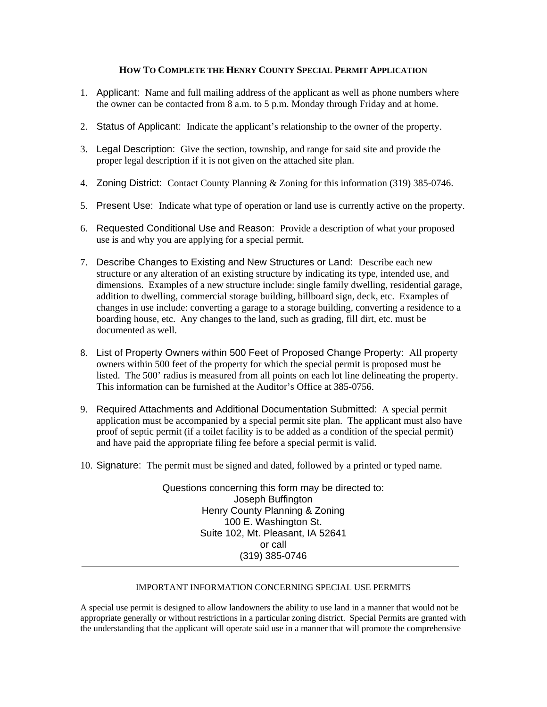## **HOW TO COMPLETE THE HENRY COUNTY SPECIAL PERMIT APPLICATION**

- 1. Applicant: Name and full mailing address of the applicant as well as phone numbers where the owner can be contacted from 8 a.m. to 5 p.m. Monday through Friday and at home.
- 2. Status of Applicant: Indicate the applicant's relationship to the owner of the property.
- 3. Legal Description: Give the section, township, and range for said site and provide the proper legal description if it is not given on the attached site plan.
- 4. Zoning District: Contact County Planning & Zoning for this information (319) 385-0746.
- 5. Present Use: Indicate what type of operation or land use is currently active on the property.
- 6. Requested Conditional Use and Reason: Provide a description of what your proposed use is and why you are applying for a special permit.
- 7. Describe Changes to Existing and New Structures or Land: Describe each new structure or any alteration of an existing structure by indicating its type, intended use, and dimensions. Examples of a new structure include: single family dwelling, residential garage, addition to dwelling, commercial storage building, billboard sign, deck, etc. Examples of changes in use include: converting a garage to a storage building, converting a residence to a boarding house, etc. Any changes to the land, such as grading, fill dirt, etc. must be documented as well.
- 8. List of Property Owners within 500 Feet of Proposed Change Property: All property owners within 500 feet of the property for which the special permit is proposed must be listed. The 500' radius is measured from all points on each lot line delineating the property. This information can be furnished at the Auditor's Office at 385-0756.
- 9. Required Attachments and Additional Documentation Submitted: A special permit application must be accompanied by a special permit site plan. The applicant must also have proof of septic permit (if a toilet facility is to be added as a condition of the special permit) and have paid the appropriate filing fee before a special permit is valid.
- 10. Signature: The permit must be signed and dated, followed by a printed or typed name.

Questions concerning this form may be directed to: Joseph Buffington Henry County Planning & Zoning 100 E. Washington St. Suite 102, Mt. Pleasant, IA 52641 or call (319) 385-0746

## IMPORTANT INFORMATION CONCERNING SPECIAL USE PERMITS

A special use permit is designed to allow landowners the ability to use land in a manner that would not be appropriate generally or without restrictions in a particular zoning district. Special Permits are granted with the understanding that the applicant will operate said use in a manner that will promote the comprehensive